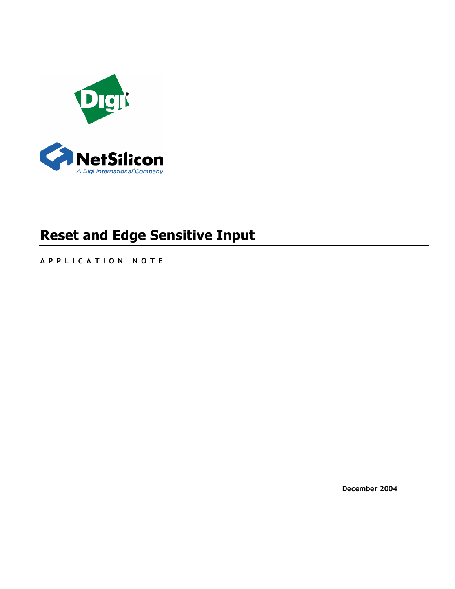

# **Reset and Edge Sensitive Input**

**APPLICATION NOTE** 

**December 2004**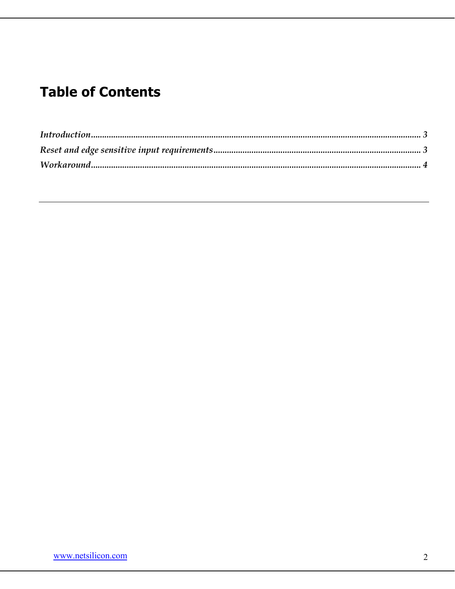## **Table of Contents**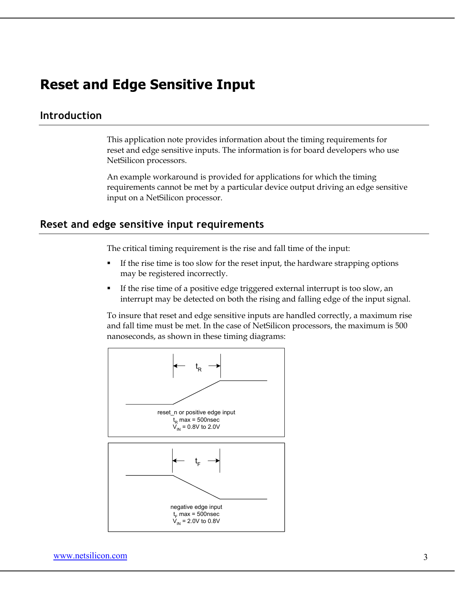### **Reset and Edge Sensitive Input**

#### **Introduction**

This application note provides information about the timing requirements for reset and edge sensitive inputs. The information is for board developers who use NetSilicon processors.

An example workaround is provided for applications for which the timing requirements cannot be met by a particular device output driving an edge sensitive input on a NetSilicon processor.

#### **Reset and edge sensitive input requirements**

The critical timing requirement is the rise and fall time of the input:

- If the rise time is too slow for the reset input, the hardware strapping options may be registered incorrectly.
- If the rise time of a positive edge triggered external interrupt is too slow, an interrupt may be detected on both the rising and falling edge of the input signal.

To insure that reset and edge sensitive inputs are handled correctly, a maximum rise and fall time must be met. In the case of NetSilicon processors, the maximum is 500 nanoseconds, as shown in these timing diagrams: